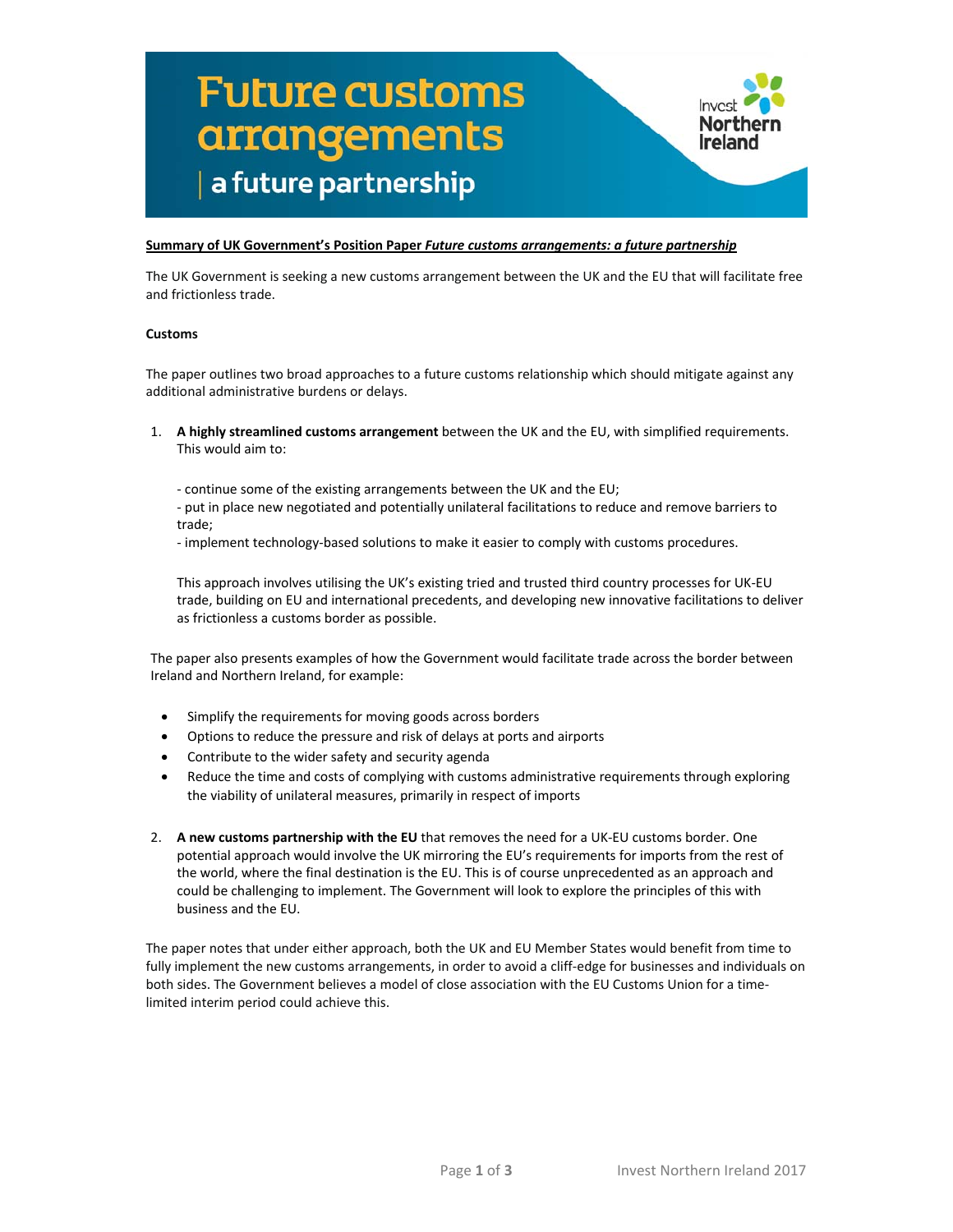# **Future customs arrangements** a future partnership



The UK Government is seeking a new customs arrangement between the UK and the EU that will facilitate free and frictionless trade.

#### **Customs**

The paper outlines two broad approaches to a future customs relationship which should mitigate against any additional administrative burdens or delays.

- 1. **A highly streamlined customs arrangement** between the UK and the EU, with simplified requirements. This would aim to:
	- ‐ continue some of the existing arrangements between the UK and the EU;

‐ put in place new negotiated and potentially unilateral facilitations to reduce and remove barriers to trade;

‐ implement technology‐based solutions to make it easier to comply with customs procedures.

This approach involves utilising the UK's existing tried and trusted third country processes for UK‐EU trade, building on EU and international precedents, and developing new innovative facilitations to deliver as frictionless a customs border as possible.

The paper also presents examples of how the Government would facilitate trade across the border between Ireland and Northern Ireland, for example:

- Simplify the requirements for moving goods across borders
- Options to reduce the pressure and risk of delays at ports and airports
- Contribute to the wider safety and security agenda
- Reduce the time and costs of complying with customs administrative requirements through exploring the viability of unilateral measures, primarily in respect of imports
- 2. **A new customs partnership with the EU** that removes the need for a UK‐EU customs border. One potential approach would involve the UK mirroring the EU's requirements for imports from the rest of the world, where the final destination is the EU. This is of course unprecedented as an approach and could be challenging to implement. The Government will look to explore the principles of this with business and the EU.

The paper notes that under either approach, both the UK and EU Member States would benefit from time to fully implement the new customs arrangements, in order to avoid a cliff-edge for businesses and individuals on both sides. The Government believes a model of close association with the EU Customs Union for a timelimited interim period could achieve this.

Northern

Ireland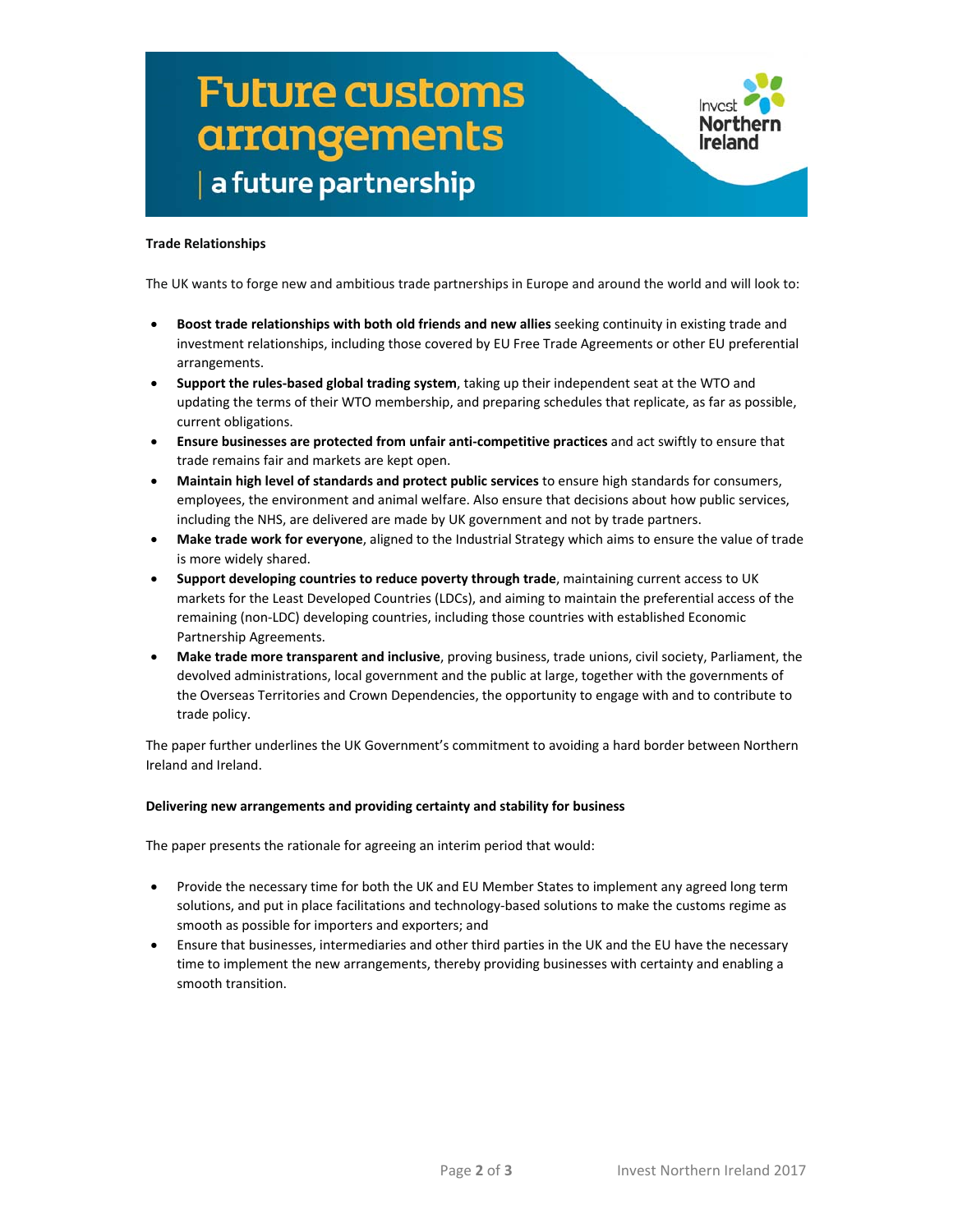## **Future customs arrangements** a future partnership



### **Trade Relationships**

The UK wants to forge new and ambitious trade partnerships in Europe and around the world and will look to:

- **Boost trade relationships with both old friends and new allies** seeking continuity in existing trade and investment relationships, including those covered by EU Free Trade Agreements or other EU preferential arrangements.
- **Support the rules‐based global trading system**, taking up their independent seat at the WTO and updating the terms of their WTO membership, and preparing schedules that replicate, as far as possible, current obligations.
- **Ensure businesses are protected from unfair anti‐competitive practices** and act swiftly to ensure that trade remains fair and markets are kept open.
- **Maintain high level of standards and protect public services** to ensure high standards for consumers, employees, the environment and animal welfare. Also ensure that decisions about how public services, including the NHS, are delivered are made by UK government and not by trade partners.
- **Make trade work for everyone**, aligned to the Industrial Strategy which aims to ensure the value of trade is more widely shared.
- **Support developing countries to reduce poverty through trade**, maintaining current access to UK markets for the Least Developed Countries (LDCs), and aiming to maintain the preferential access of the remaining (non‐LDC) developing countries, including those countries with established Economic Partnership Agreements.
- **Make trade more transparent and inclusive**, proving business, trade unions, civil society, Parliament, the devolved administrations, local government and the public at large, together with the governments of the Overseas Territories and Crown Dependencies, the opportunity to engage with and to contribute to trade policy.

The paper further underlines the UK Government's commitment to avoiding a hard border between Northern Ireland and Ireland.

#### **Delivering new arrangements and providing certainty and stability for business**

The paper presents the rationale for agreeing an interim period that would:

- Provide the necessary time for both the UK and EU Member States to implement any agreed long term solutions, and put in place facilitations and technology-based solutions to make the customs regime as smooth as possible for importers and exporters; and
- Ensure that businesses, intermediaries and other third parties in the UK and the EU have the necessary time to implement the new arrangements, thereby providing businesses with certainty and enabling a smooth transition.